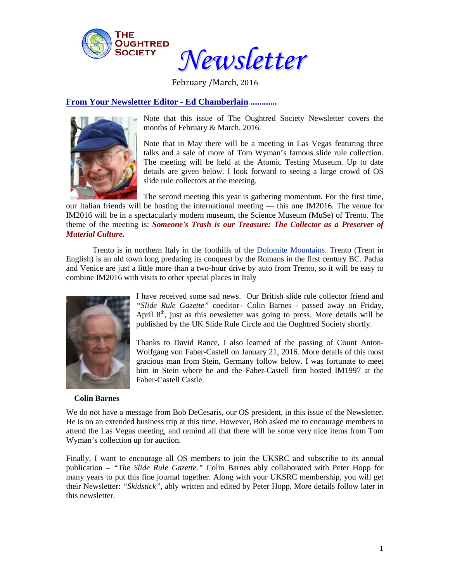

*Newsletter*

February /March, 2016

**From Your Newsletter Editor - Ed Chamberlain ............**



Note that this issue of The Oughtred Society Newsletter covers the months of February & March, 2016.

Note that in May there will be a meeting in Las Vegas featuring three talks and a sale of more of Tom Wyman's famous slide rule collection. The meeting will be held at the Atomic Testing Museum. Up to date details are given below. I look forward to seeing a large crowd of OS slide rule collectors at the meeting.

The second meeting this year is gathering momentum. For the first time, our Italian friends will be hosting the international meeting — this one IM2016. The venue for IM2016 will be in a spectacularly modern museum, the Science Museum (MuSe) of Trento. The theme of the meeting is: *Someone's Trash is our Treasure: The Collector as a Preserver of Material Culture.*

Trento is in northern Italy in the foothills of the [Dolomite Mountains.](https://en.wikipedia.org/wiki/Dolomite_Mountains) Trento (Trent in English) is an old town long predating its conquest by the Romans in the first century BC. Padua and Venice are just a little more than a two-hour drive by auto from Trento, so it will be easy to combine IM2016 with visits to other special places in Italy



I have received some sad news. Our British slide rule collector friend and *"Slide Rule Gazette"* coeditor*–* Colin Barnes - passed away on Friday, April  $8<sup>th</sup>$ , just as this newsletter was going to press. More details will be published by the UK Slide Rule Circle and the Oughtred Society shortly.

Thanks to David Rance, I also learned of the passing of Count Anton-Wolfgang von Faber-Castell on January 21, 2016. More details of this most gracious man from Stein, Germany follow below. I was fortunate to meet him in Stein where he and the Faber-Castell firm hosted IM1997 at the Faber-Castell Castle.

#### **Colin Barnes**

We do not have a message from Bob DeCesaris, our OS president, in this issue of the Newsletter. He is on an extended business trip at this time. However, Bob asked me to encourage members to attend the Las Vegas meeting, and remind all that there will be some very nice items from Tom Wyman's collection up for auction.

Finally, I want to encourage all OS members to join the UKSRC and subscribe to its annual publication – *"The Slide Rule Gazette."* Colin Barnes ably collaborated with Peter Hopp for many years to put this fine journal together. Along with your UKSRC membership, you will get their Newsletter: *"Skidstick",* ably written and edited by Peter Hopp. More details follow later in this newsletter.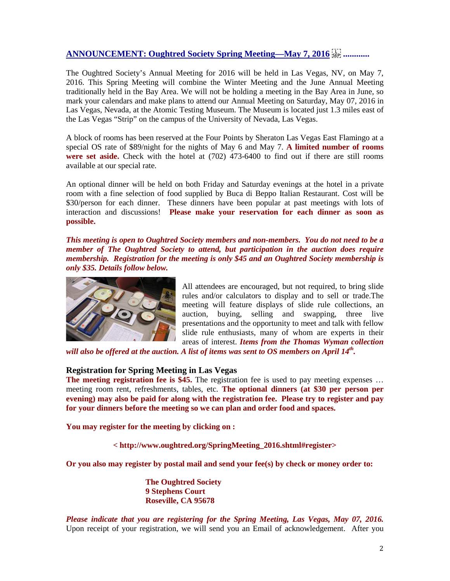# **ANNOUNCEMENT: [Oughtred Society Spring Meeting—May 7, 2016](http://www.oughtred.org/SpringMeeting_2016.shtml#register) ............**

The Oughtred Society's Annual Meeting for 2016 will be held in Las Vegas, NV, on May 7, 2016. This Spring Meeting will combine the Winter Meeting and the June Annual Meeting traditionally held in the Bay Area. We will not be holding a meeting in the Bay Area in June, so mark your calendars and make plans to attend our Annual Meeting on Saturday, May 07, 2016 in Las Vegas, Nevada, at the Atomic Testing Museum. The Museum is located just 1.3 miles east of the Las Vegas "Strip" on the campus of the University of Nevada, Las Vegas.

A block of rooms has been reserved at the Four Points by Sheraton Las Vegas East Flamingo at a special OS rate of \$89/night for the nights of May 6 and May 7. **A limited number of rooms**  were set aside. Check with the hotel at  $(702)$  473-6400 to find out if there are still rooms available at our special rate.

An optional dinner will be held on both Friday and Saturday evenings at the hotel in a private room with a fine selection of food supplied by Buca di Beppo Italian Restaurant. Cost will be \$30/person for each dinner. These dinners have been popular at past meetings with lots of interaction and discussions! **Please make your reservation for each dinner as soon as possible.** 

*This meeting is open to Oughtred Society members and non-members. You do not need to be a member of The Oughtred Society to attend, but participation in the auction does require membership. Registration for the meeting is only \$45 and an Oughtred Society membership is only \$35. Details follow below.*



All attendees are encouraged, but not required, to bring slide rules and/or calculators to display and to sell or trade.The meeting will feature displays of slide rule collections, an auction, buying, selling and swapping, three live presentations and the opportunity to meet and talk with fellow slide rule enthusiasts, many of whom are experts in their areas of interest. *Items from the Thomas Wyman collection* 

*will also be offered at the auction. A list of items was sent to OS members on April 14th.*

### **Registration for Spring Meeting in Las Vegas**

**The meeting registration fee is \$45.** The registration fee is used to pay meeting expenses ... meeting room rent, refreshments, tables, etc. **The optional dinners (at \$30 per person per evening) may also be paid for along with the registration fee. Please try to register and pay for your dinners before the meeting so we can plan and order food and spaces.**

**You may register for the meeting by clicking on :**

**< http://www.oughtred.org/SpringMeeting\_2016.shtml#register>**

**Or you also may register by postal mail and send your fee(s) by check or money order to:**

**The Oughtred Society 9 Stephens Court Roseville, CA 95678**

*Please indicate that you are registering for the Spring Meeting, Las Vegas, May 07, 2016.*  Upon receipt of your registration, we will send you an Email of acknowledgement. After you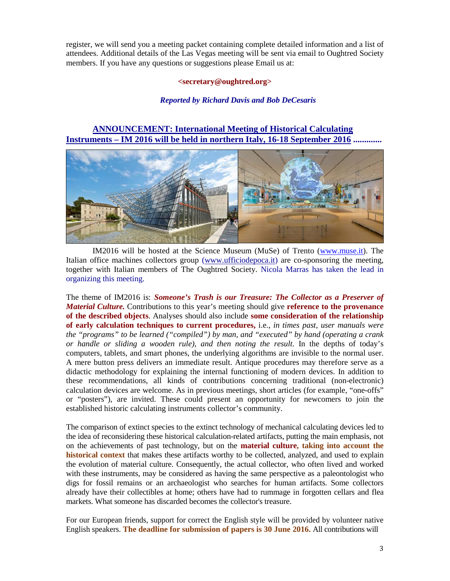register, we will send you a meeting packet containing complete detailed information and a list of attendees. Additional details of the Las Vegas meeting will be sent via email to Oughtred Society members. If you have any questions or suggestions please Email us at:

#### **<secretary@oughtred.org>**

### *Reported by Richard Davis and Bob DeCesaris*

## **ANNOUNCEMENT: International Meeting of Historical Calculating Instruments – IM 2016 will be held in northern Italy, 16-18 September 2016 .............**



IM2016 will be hosted at the Science Museum (MuSe) of Trento (www.muse.it). The Italian office machines collectors group (www.ufficiodepoca.it) are co-sponsoring the meeting, together with Italian members of The Oughtred Society. Nicola Marras has taken the lead in organizing this meeting.

The theme of IM2016 is: *Someone's Trash is our Treasure: The Collector as a Preserver of Material Culture.* Contributions to this year's meeting should give **reference to the provenance of the described objects**. Analyses should also include **some consideration of the relationship of early calculation techniques to current procedures,** i.e., *in times past, user manuals were the "programs" to be learned ("compiled") by man, and "executed" by hand (operating a crank or handle or sliding a wooden rule), and then noting the result.* In the depths of today's computers, tablets, and smart phones, the underlying algorithms are invisible to the normal user. A mere button press delivers an immediate result. Antique procedures may therefore serve as a didactic methodology for explaining the internal functioning of modern devices. In addition to these recommendations, all kinds of contributions concerning traditional (non-electronic) calculation devices are welcome. As in previous meetings, short articles (for example, "one-offs" or "posters"), are invited. These could present an opportunity for newcomers to join the established historic calculating instruments collector's community.

The comparison of extinct species to the extinct technology of mechanical calculating devices led to the idea of reconsidering these historical calculation-related artifacts, putting the main emphasis, not on the achievements of past technology, but on the **material culture, taking into account the historical context** that makes these artifacts worthy to be collected, analyzed, and used to explain the evolution of material culture. Consequently, the actual collector, who often lived and worked with these instruments, may be considered as having the same perspective as a paleontologist who digs for fossil remains or an archaeologist who searches for human artifacts. Some collectors already have their collectibles at home; others have had to rummage in forgotten cellars and flea markets. What someone has discarded becomes the collector's treasure.

For our European friends, support for correct the English style will be provided by volunteer native English speakers. **The deadline for submission of papers is 30 June 2016.** All contributions will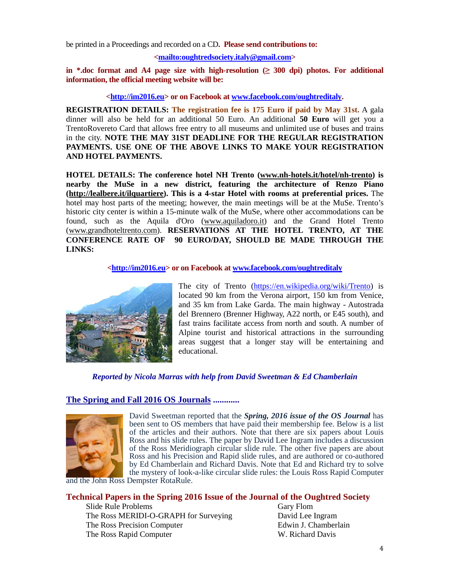be printed in a Proceedings and recorded on a CD**. Please send contributions to:**

#### **[<mailto:oughtredsociety.italy@gmail.com>](mailto:oughtredsociety.italy@gmail.com)**

**in \*.doc format and A4 page size with high-resolution (≥ 300 dpi) photos. For additional information, the official meeting website will be:**

**[<http://im2016.eu>](http://im2016.eu/) or on Facebook at [www.facebook.com/oughtreditaly.](http://www.facebook.com/oughtreditaly)**

**REGISTRATION DETAILS: The registration fee is 175 Euro if paid by May 31st.** A gala dinner will also be held for an additional 50 Euro. An additional **50 Euro** will get you a TrentoRovereto Card that allows free entry to all museums and unlimited use of buses and trains in the city. **NOTE THE MAY 31ST DEADLINE FOR THE REGULAR REGISTRATION PAYMENTS. USE ONE OF THE ABOVE LINKS TO MAKE YOUR REGISTRATION AND HOTEL PAYMENTS.**

**HOTEL DETAILS: The conference hotel NH Trento [\(www.nh-hotels.it/hotel/nh-trento\)](http://www.nh-hotels.it/hotel/nh-trento) is nearby the MuSe in a new district, featuring the architecture of Renzo Piano [\(http://lealbere.it/ilquartiere\)](http://lealbere.it/ilquartiere). This is a 4-star Hotel with rooms at preferential prices.** The hotel may host parts of the meeting; however, the main meetings will be at the MuSe. Trento's historic city center is within a 15-minute walk of the MuSe, where other accommodations can be found, such as the Aquila d'Oro (www.aquiladoro.it) and the Grand Hotel Trento [\(www.grandhoteltrento.com\)](http://www.grandhoteltrento.com/). **RESERVATIONS AT THE HOTEL TRENTO, AT THE CONFERENCE RATE OF 90 EURO/DAY, SHOULD BE MADE THROUGH THE LINKS:**

**[<http://im2016.eu>](http://im2016.eu/) or on Facebook a[t www.facebook.com/oughtreditaly](http://www.facebook.com/oughtreditaly)**



The city of Trento [\(https://en.wikipedia.org/wiki/Trento\)](https://en.wikipedia.org/wiki/Trento) is located 90 km from the Verona airport, 150 km from Venice, and 35 km from Lake Garda. The main highway - Autostrada del Brennero (Brenner Highway, A22 north, or E45 south), and fast trains facilitate access from north and south. A number of Alpine tourist and historical attractions in the surrounding areas suggest that a longer stay will be entertaining and educational.

## *Reported by Nicola Marras with help from David Sweetman & Ed Chamberlain*

## **The Spring and Fall 2016 OS Journals ............**



David Sweetman reported that the *Spring, 2016 issue of the OS Journal* has been sent to OS members that have paid their membership fee. Below is a list of the articles and their authors. Note that there are six papers about Louis Ross and his slide rules. The paper by David Lee Ingram includes a discussion of the Ross Meridiograph circular slide rule. The other five papers are about Ross and his Precision and Rapid slide rules, and are authored or co-authored by Ed Chamberlain and Richard Davis. Note that Ed and Richard try to solve the mystery of look-a-like circular slide rules: the Louis Ross Rapid Computer

and the John Ross Dempster RotaRule.

### **Technical Papers in the Spring 2016 Issue of the Journal of the Oughtred Society**

Slide Rule Problems Gary Flom The Ross MERIDI-O-GRAPH for Surveying David Lee Ingram The Ross Precision Computer Edwin J. Chamberlain The Ross Rapid Computer W. Richard Davis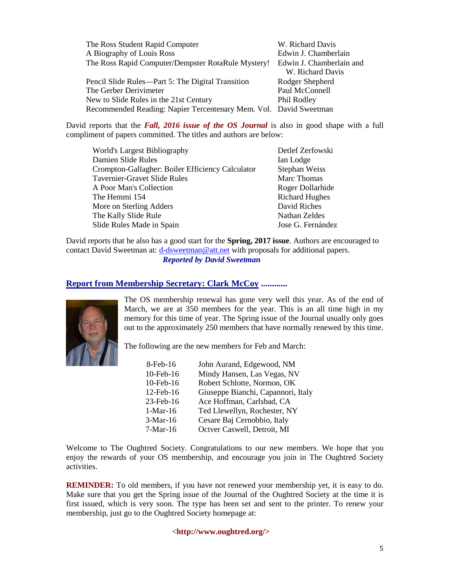| The Ross Student Rapid Computer                                   | W. Richard Davis         |
|-------------------------------------------------------------------|--------------------------|
| A Biography of Louis Ross                                         | Edwin J. Chamberlain     |
| The Ross Rapid Computer/Dempster RotaRule Mystery!                | Edwin J. Chamberlain and |
|                                                                   | W. Richard Davis         |
| Pencil Slide Rules—Part 5: The Digital Transition                 | Rodger Shepherd          |
| The Gerber Derivimeter                                            | Paul McConnell           |
| New to Slide Rules in the 21st Century                            | Phil Rodley              |
| Recommended Reading: Napier Tercentenary Mem. Vol. David Sweetman |                          |

David reports that the *Fall, 2016 issue of the OS Journal* is also in good shape with a full compliment of papers committed. The titles and authors are below:

| World's Largest Bibliography                     | Detlef Zerfowski      |
|--------------------------------------------------|-----------------------|
| Damien Slide Rules                               | Ian Lodge             |
| Crompton-Gallagher: Boiler Efficiency Calculator | Stephan Weiss         |
| Tavernier-Gravet Slide Rules                     | Marc Thomas           |
| A Poor Man's Collection                          | Roger Dollarhide      |
| The Hemmi 154                                    | <b>Richard Hughes</b> |
| More on Sterling Adders                          | David Riches          |
| The Kally Slide Rule                             | Nathan Zeldes         |
| Slide Rules Made in Spain                        | Jose G. Fernández     |

David reports that he also has a good start for the **Spring, 2017 issue**. Authors are encouraged to contact David Sweetman at: [d-dsweetman@att.net](mailto:d-dsweetman@att.net) with proposals for additional papers. *Reported by David Sweetman*

## **Report from Membership Secretary: Clark McCoy ............**



The OS membership renewal has gone very well this year. As of the end of March, we are at 350 members for the year. This is an all time high in my memory for this time of year. The Spring issue of the Journal usually only goes out to the approximately 250 members that have normally renewed by this time.

The following are the new members for Feb and March:

| $8$ -Feb-16  | John Aurand, Edgewood, NM          |
|--------------|------------------------------------|
| 10-Feb-16    | Mindy Hansen, Las Vegas, NV        |
| 10-Feb-16    | Robert Schlotte, Normon, OK        |
| $12$ -Feb-16 | Giuseppe Bianchi, Capannori, Italy |
| $23$ -Feb-16 | Ace Hoffman, Carlsbad, CA          |
| $1-Mar-16$   | Ted Llewellyn, Rochester, NY       |
| $3-Mar-16$   | Cesare Baj Cernobbio, Italy        |
| $7-Mar-16$   | Octver Caswell, Detroit, MI        |

Welcome to The Oughtred Society. Congratulations to our new members. We hope that you enjoy the rewards of your OS membership, and encourage you join in The Oughtred Society activities.

**REMINDER:** To old members, if you have not renewed your membership yet, it is easy to do. Make sure that you get the Spring issue of the Journal of the Oughtred Society at the time it is first issued, which is very soon. The type has been set and sent to the printer. To renew your membership, just go to the Oughtred Society homepage at:

<**http://www.oughtred.org/>**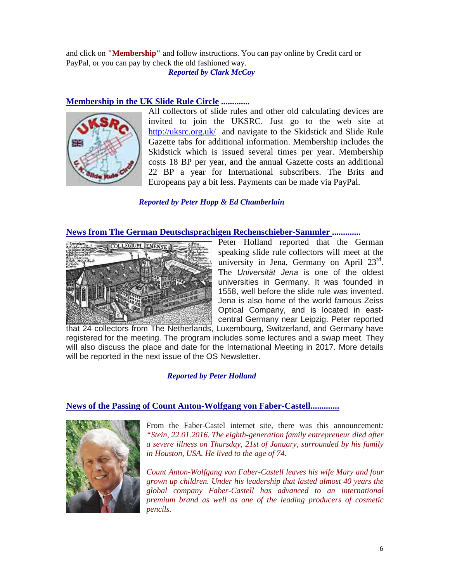and click on **"Membership"** and follow instructions. You can pay online by Credit card or PayPal, or you can pay by check the old fashioned way.

*Reported by Clark McCoy*

## **Membership in the UK Slide Rule Circle .............**



All collectors of slide rules and other old calculating devices are invited to join the UKSRC. Just go to the web site at <http://uksrc.org.uk/>and navigate to the Skidstick and Slide Rule Gazette tabs for additional information. Membership includes the Skidstick which is issued several times per year. Membership costs 18 BP per year, and the annual Gazette costs an additional 22 BP a year for International subscribers. The Brits and Europeans pay a bit less. Payments can be made via PayPal.

## *Reported by Peter Hopp & Ed Chamberlain*

## **News from The German Deutschsprachigen Rechenschieber-Sammler .............**



Peter Holland reported that the German speaking slide rule collectors will meet at the university in Jena, Germany on April  $23^{\text{rd}}$ . The *Universität Jena* is one of the oldest universities in Germany. It was founded in 1558, well before the slide rule was invented. Jena is also home of the world famous Zeiss Optical Company, and is located in eastcentral Germany near Leipzig. Peter reported

that 24 collectors from The Netherlands, Luxembourg, Switzerland, and Germany have registered for the meeting. The program includes some lectures and a swap meet. They will also discuss the place and date for the International Meeting in 2017. More details will be reported in the next issue of the OS Newsletter.

## *Reported by Peter Holland*

### **News of the Passing of Count Anton-Wolfgang von Faber-Castell.............**



From the Faber-Castel internet site, there was this announcement*: "Stein, 22.01.2016. The eighth-generation family entrepreneur died after a severe illness on Thursday, 21st of January, surrounded by his family in Houston, USA. He lived to the age of 74.* 

*Count Anton-Wolfgang von Faber-Castell leaves his wife Mary and four grown up children. Under his leadership that lasted almost 40 years the global company Faber-Castell has advanced to an international premium brand as well as one of the leading producers of cosmetic pencils.*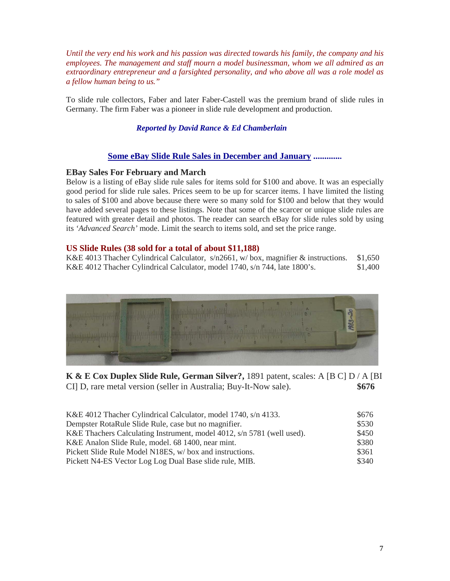*Until the very end his work and his passion was directed towards his family, the company and his employees. The management and staff mourn a model businessman, whom we all admired as an extraordinary entrepreneur and a farsighted personality, and who above all was a role model as a fellow human being to us."*

To slide rule collectors, Faber and later Faber-Castell was the premium brand of slide rules in Germany. The firm Faber was a pioneer in slide rule development and production.

*Reported by David Rance & Ed Chamberlain*

## **Some eBay Slide Rule Sales in December and January .............**

### **EBay Sales For February and March**

Below is a listing of eBay slide rule sales for items sold for \$100 and above. It was an especially good period for slide rule sales. Prices seem to be up for scarcer items. I have limited the listing to sales of \$100 and above because there were so many sold for \$100 and below that they would have added several pages to these listings. Note that some of the scarcer or unique slide rules are featured with greater detail and photos. The reader can search eBay for slide rules sold by using its *'Advanced Search'* mode. Limit the search to items sold, and set the price range.

## **US Slide Rules (38 sold for a total of about \$11,188)**

K&E 4013 Thacher Cylindrical Calculator, s/n2661, w/ box, magnifier & instructions. \$1,650 K&E 4012 Thacher Cylindrical Calculator, model 1740, s/n 744, late 1800's. \$1,400



**K & E Cox Duplex Slide Rule, German Silver?,** 1891 patent, scales: A [B C] D / A [BI CI] D, rare metal version (seller in Australia; Buy-It-Now sale). **\$676**

| K&E 4012 Thacher Cylindrical Calculator, model 1740, s/n 4133.         | \$676 |
|------------------------------------------------------------------------|-------|
| Dempster RotaRule Slide Rule, case but no magnifier.                   | \$530 |
| K&E Thachers Calculating Instrument, model 4012, s/n 5781 (well used). | \$450 |
| K&E Analon Slide Rule, model. 68 1400, near mint.                      | \$380 |
| Pickett Slide Rule Model N18ES, w/ box and instructions.               | \$361 |
| Pickett N4-ES Vector Log Log Dual Base slide rule, MIB.                | \$340 |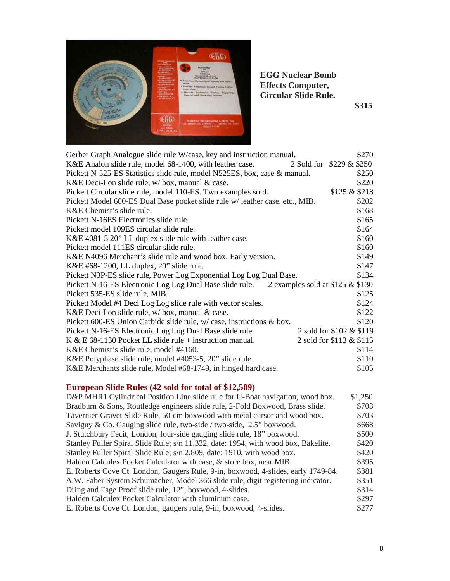

**EGG Nuclear Bomb Effects Computer, Circular Slide Rule.**

 **\$315**

| Gerber Graph Analogue slide rule W/case, key and instruction manual.                      | \$270                    |
|-------------------------------------------------------------------------------------------|--------------------------|
| K&E Analon slide rule, model 68-1400, with leather case.                                  | 2 Sold for \$229 & \$250 |
| Pickett N-525-ES Statistics slide rule, model N525ES, box, case & manual.                 | \$250                    |
| K&E Deci-Lon slide rule, w/box, manual & case.                                            | \$220                    |
| Pickett Circular slide rule, model 110-ES. Two examples sold.                             | \$125 & \$218            |
| Pickett Model 600-ES Dual Base pocket slide rule w/ leather case, etc., MIB.              | \$202                    |
| K&E Chemist's slide rule.                                                                 | \$168                    |
| Pickett N-16ES Electronics slide rule.                                                    | \$165                    |
| Pickett model 109ES circular slide rule.                                                  | \$164                    |
| K&E 4081-5 20" LL duplex slide rule with leather case.                                    | \$160                    |
| Pickett model 111ES circular slide rule.                                                  | \$160                    |
| K&E N4096 Merchant's slide rule and wood box. Early version.                              | \$149                    |
| K&E #68-1200, LL duplex, 20" slide rule.                                                  | \$147                    |
| Pickett N3P-ES slide rule, Power Log Exponential Log Log Dual Base.                       | \$134                    |
| Pickett N-16-ES Electronic Log Log Dual Base slide rule. 2 examples sold at \$125 & \$130 |                          |
| Pickett 535-ES slide rule, MIB.                                                           | \$125                    |
| Pickett Model #4 Deci Log Log slide rule with vector scales.                              | \$124                    |
| K&E Deci-Lon slide rule, w/box, manual & case.                                            | \$122                    |
| Pickett 600-ES Union Carbide slide rule, $w/case$ , instructions & box.                   | \$120                    |
| Pickett N-16-ES Electronic Log Log Dual Base slide rule.                                  | 2 sold for \$102 & \$119 |
| K & E $68-1130$ Pocket LL slide rule + instruction manual.                                | 2 sold for \$113 & \$115 |
| K&E Chemist's slide rule, model #4160.                                                    | \$114                    |
| K&E Polyphase slide rule, model #4053-5, 20" slide rule.                                  | \$110                    |
| K&E Merchants slide rule, Model #68-1749, in hinged hard case.                            | \$105                    |

# **European Slide Rules (42 sold for total of \$12,589)**

| D&P MHR1 Cylindrical Position Line slide rule for U-Boat navigation, wood box.     | \$1,250 |
|------------------------------------------------------------------------------------|---------|
| Bradburn & Sons, Routledge engineers slide rule, 2-Fold Boxwood, Brass slide.      | \$703   |
| Tavernier-Gravet Slide Rule, 50-cm boxwood with metal cursor and wood box.         | \$703   |
| Savigny & Co. Gauging slide rule, two-side / two-side, 2.5" boxwood.               | \$668   |
| J. Stutchbury Fecit, London, four-side gauging slide rule, 18" boxwood.            | \$500   |
| Stanley Fuller Spiral Slide Rule; s/n 11,332, date: 1954, with wood box, Bakelite. | \$420   |
| Stanley Fuller Spiral Slide Rule; s/n 2,809, date: 1910, with wood box.            | \$420   |
| Halden Calculex Pocket Calculator with case, & store box, near MIB.                | \$395   |
| E. Roberts Cove Ct. London, Gaugers Rule, 9-in, boxwood, 4-slides, early 1749-84.  | \$381   |
| A.W. Faber System Schumacher, Model 366 slide rule, digit registering indicator.   | \$351   |
| Dring and Fage Proof slide rule, 12", boxwood, 4-slides.                           | \$314   |
| Halden Calculex Pocket Calculator with aluminum case.                              | \$297   |
| E. Roberts Cove Ct. London, gaugers rule, 9-in, boxwood, 4-slides.                 | \$277   |
|                                                                                    |         |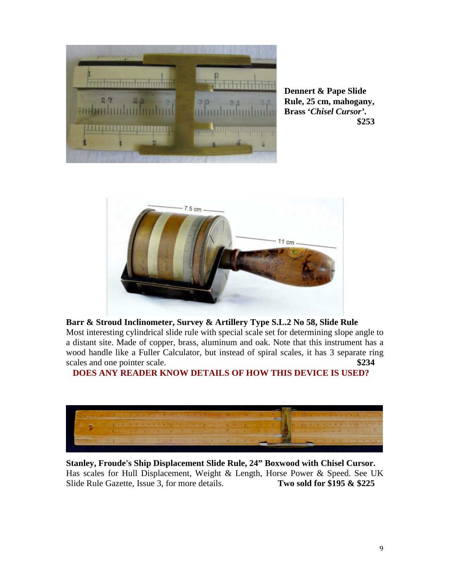

**Dennert & Pape Slide Rule, 25 cm, mahogany, Brass '***Chisel Cursor'***. \$253**



# **Barr & Stroud Inclinometer, Survey & Artillery Type S.L.2 No 58, Slide Rule**

Most interesting cylindrical slide rule with special scale set for determining slope angle to a distant site. Made of copper, brass, aluminum and oak. Note that this instrument has a wood handle like a Fuller Calculator, but instead of spiral scales, it has 3 separate ring scales and one pointer scale. **\$234** 

 **DOES ANY READER KNOW DETAILS OF HOW THIS DEVICE IS USED?**



**Stanley, Froude's Ship Displacement Slide Rule, 24" Boxwood with Chisel Cursor.** Has scales for Hull Displacement, Weight & Length, Horse Power & Speed. See UK Slide Rule Gazette, Issue 3, for more details. **Two sold for \$195 & \$225**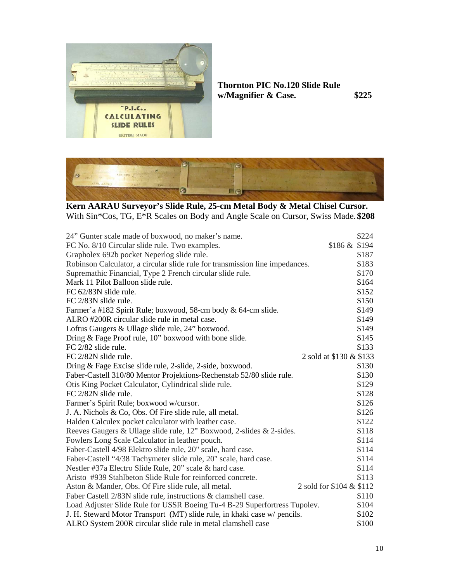

# **Thornton PIC No.120 Slide Rule w/Magnifier & Case. \$225**



**Kern AARAU Surveyor's Slide Rule, 25-cm Metal Body & Metal Chisel Cursor.** With Sin\*Cos, TG, E\*R Scales on Body and Angle Scale on Cursor, Swiss Made. **\$208**

| 24" Gunter scale made of boxwood, no maker's name.                           |                          | \$224 |
|------------------------------------------------------------------------------|--------------------------|-------|
| FC No. 8/10 Circular slide rule. Two examples.                               | $$186 \& $194$           |       |
| Grapholex 692b pocket Neperlog slide rule.                                   |                          | \$187 |
| Robinson Calculator, a circular slide rule for transmission line impedances. |                          | \$183 |
| Supremathic Financial, Type 2 French circular slide rule.                    |                          | \$170 |
| Mark 11 Pilot Balloon slide rule.                                            |                          | \$164 |
| FC 62/83N slide rule.                                                        |                          | \$152 |
| FC 2/83N slide rule.                                                         |                          | \$150 |
| Farmer'a #182 Spirit Rule; boxwood, 58-cm body & 64-cm slide.                |                          | \$149 |
| ALRO #200R circular slide rule in metal case.                                |                          | \$149 |
| Loftus Gaugers & Ullage slide rule, 24" boxwood.                             |                          | \$149 |
| Dring & Fage Proof rule, 10" boxwood with bone slide.                        |                          | \$145 |
| $FC 2/82$ slide rule.                                                        |                          | \$133 |
| FC 2/82N slide rule.                                                         | 2 sold at \$130 & \$133  |       |
| Dring & Fage Excise slide rule, 2-slide, 2-side, boxwood.                    |                          | \$130 |
| Faber-Castell 310/80 Mentor Projektions-Rechenstab 52/80 slide rule.         |                          | \$130 |
| Otis King Pocket Calculator, Cylindrical slide rule.                         |                          | \$129 |
| FC 2/82N slide rule.                                                         |                          | \$128 |
| Farmer's Spirit Rule; boxwood w/cursor.                                      |                          | \$126 |
| J. A. Nichols & Co, Obs. Of Fire slide rule, all metal.                      |                          | \$126 |
| Halden Calculex pocket calculator with leather case.                         |                          | \$122 |
| Reeves Gaugers & Ullage slide rule, 12" Boxwood, 2-slides & 2-sides.         |                          | \$118 |
| Fowlers Long Scale Calculator in leather pouch.                              |                          | \$114 |
| Faber-Castell 4/98 Elektro slide rule, 20" scale, hard case.                 |                          | \$114 |
| Faber-Castell "4/38 Tachymeter slide rule, 20" scale, hard case.             |                          | \$114 |
| Nestler #37a Electro Slide Rule, 20" scale & hard case.                      |                          | \$114 |
| Aristo #939 Stahlbeton Slide Rule for reinforced concrete.                   |                          | \$113 |
| Aston & Mander, Obs. Of Fire slide rule, all metal.                          | 2 sold for \$104 & \$112 |       |
| Faber Castell 2/83N slide rule, instructions & clamshell case.               |                          | \$110 |
| Load Adjuster Slide Rule for USSR Boeing Tu-4 B-29 Superfortress Tupolev.    |                          | \$104 |
| J. H. Steward Motor Transport (MT) slide rule, in khaki case w/ pencils.     |                          | \$102 |
| ALRO System 200R circular slide rule in metal clamshell case                 |                          | \$100 |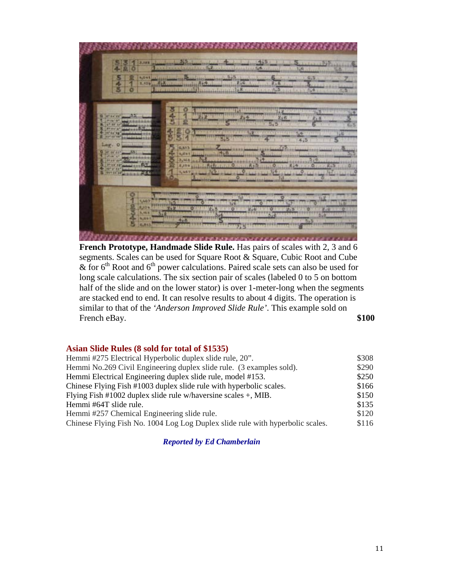

**French Prototype, Handmade Slide Rule.** Has pairs of scales with 2, 3 and 6 segments. Scales can be used for Square Root & Square, Cubic Root and Cube  $\&$  for 6<sup>th</sup> Root and 6<sup>th</sup> power calculations. Paired scale sets can also be used for long scale calculations. The six section pair of scales (labeled 0 to 5 on bottom half of the slide and on the lower stator) is over 1-meter-long when the segments are stacked end to end. It can resolve results to about 4 digits. The operation is similar to that of the *'Anderson Improved Slide Rule'*. This example sold on French eBay. \$100

### **Asian Slide Rules (8 sold for total of \$1535)**

| Hemmi #275 Electrical Hyperbolic duplex slide rule, 20".                       | \$308 |
|--------------------------------------------------------------------------------|-------|
| Hemmi No.269 Civil Engineering duplex slide rule. (3 examples sold).           | \$290 |
| Hemmi Electrical Engineering duplex slide rule, model #153.                    | \$250 |
| Chinese Flying Fish #1003 duplex slide rule with hyperbolic scales.            | \$166 |
| Flying Fish #1002 duplex slide rule w/haversine scales $+$ , MIB.              | \$150 |
| Hemmi #64T slide rule.                                                         | \$135 |
| Hemmi #257 Chemical Engineering slide rule.                                    | \$120 |
| Chinese Flying Fish No. 1004 Log Log Duplex slide rule with hyperbolic scales. | \$116 |

*Reported by Ed Chamberlain*